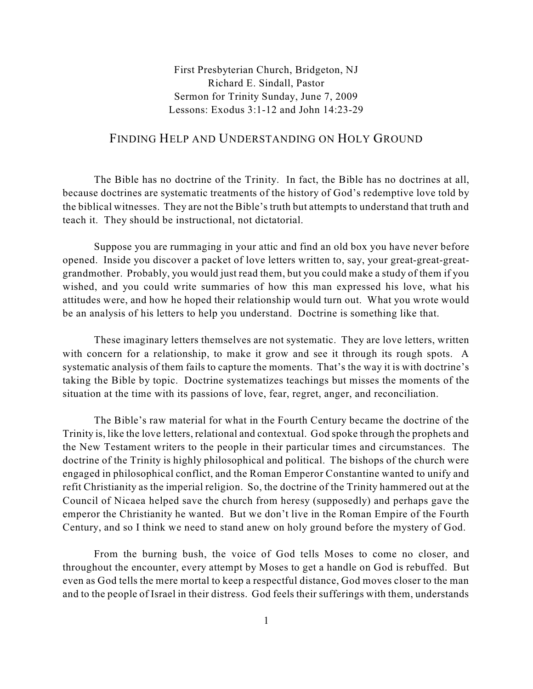First Presbyterian Church, Bridgeton, NJ Richard E. Sindall, Pastor Sermon for Trinity Sunday, June 7, 2009 Lessons: Exodus 3:1-12 and John 14:23-29

## FINDING HELP AND UNDERSTANDING ON HOLY GROUND

The Bible has no doctrine of the Trinity. In fact, the Bible has no doctrines at all, because doctrines are systematic treatments of the history of God's redemptive love told by the biblical witnesses. They are not the Bible's truth but attempts to understand that truth and teach it. They should be instructional, not dictatorial.

Suppose you are rummaging in your attic and find an old box you have never before opened. Inside you discover a packet of love letters written to, say, your great-great-greatgrandmother. Probably, you would just read them, but you could make a study of them if you wished, and you could write summaries of how this man expressed his love, what his attitudes were, and how he hoped their relationship would turn out. What you wrote would be an analysis of his letters to help you understand. Doctrine is something like that.

These imaginary letters themselves are not systematic. They are love letters, written with concern for a relationship, to make it grow and see it through its rough spots. A systematic analysis of them fails to capture the moments. That's the way it is with doctrine's taking the Bible by topic. Doctrine systematizes teachings but misses the moments of the situation at the time with its passions of love, fear, regret, anger, and reconciliation.

The Bible's raw material for what in the Fourth Century became the doctrine of the Trinity is, like the love letters, relational and contextual. God spoke through the prophets and the New Testament writers to the people in their particular times and circumstances. The doctrine of the Trinity is highly philosophical and political. The bishops of the church were engaged in philosophical conflict, and the Roman Emperor Constantine wanted to unify and refit Christianity as the imperial religion. So, the doctrine of the Trinity hammered out at the Council of Nicaea helped save the church from heresy (supposedly) and perhaps gave the emperor the Christianity he wanted. But we don't live in the Roman Empire of the Fourth Century, and so I think we need to stand anew on holy ground before the mystery of God.

From the burning bush, the voice of God tells Moses to come no closer, and throughout the encounter, every attempt by Moses to get a handle on God is rebuffed. But even as God tells the mere mortal to keep a respectful distance, God moves closer to the man and to the people of Israel in their distress. God feels their sufferings with them, understands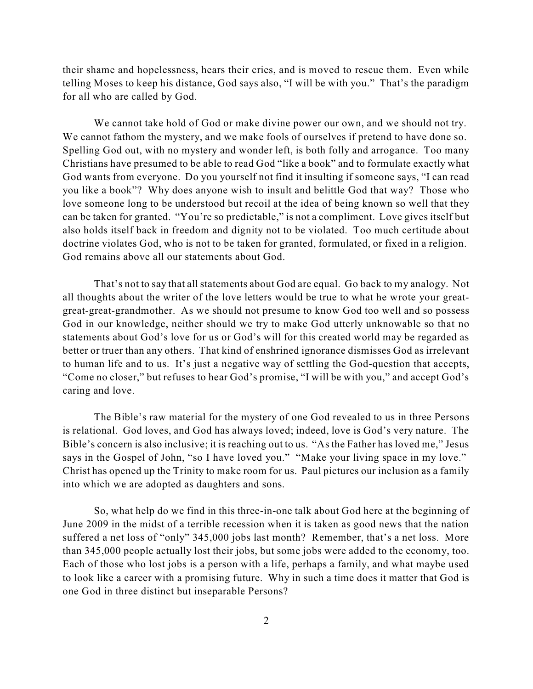their shame and hopelessness, hears their cries, and is moved to rescue them. Even while telling Moses to keep his distance, God says also, "I will be with you." That's the paradigm for all who are called by God.

We cannot take hold of God or make divine power our own, and we should not try. We cannot fathom the mystery, and we make fools of ourselves if pretend to have done so. Spelling God out, with no mystery and wonder left, is both folly and arrogance. Too many Christians have presumed to be able to read God "like a book" and to formulate exactly what God wants from everyone. Do you yourself not find it insulting if someone says, "I can read you like a book"? Why does anyone wish to insult and belittle God that way? Those who love someone long to be understood but recoil at the idea of being known so well that they can be taken for granted. "You're so predictable," is not a compliment. Love gives itself but also holds itself back in freedom and dignity not to be violated. Too much certitude about doctrine violates God, who is not to be taken for granted, formulated, or fixed in a religion. God remains above all our statements about God.

That's not to say that all statements about God are equal. Go back to my analogy. Not all thoughts about the writer of the love letters would be true to what he wrote your greatgreat-great-grandmother. As we should not presume to know God too well and so possess God in our knowledge, neither should we try to make God utterly unknowable so that no statements about God's love for us or God's will for this created world may be regarded as better or truer than any others. That kind of enshrined ignorance dismisses God as irrelevant to human life and to us. It's just a negative way of settling the God-question that accepts, "Come no closer," but refuses to hear God's promise, "I will be with you," and accept God's caring and love.

The Bible's raw material for the mystery of one God revealed to us in three Persons is relational. God loves, and God has always loved; indeed, love is God's very nature. The Bible's concern is also inclusive; it is reaching out to us. "As the Father has loved me," Jesus says in the Gospel of John, "so I have loved you." "Make your living space in my love." Christ has opened up the Trinity to make room for us. Paul pictures our inclusion as a family into which we are adopted as daughters and sons.

So, what help do we find in this three-in-one talk about God here at the beginning of June 2009 in the midst of a terrible recession when it is taken as good news that the nation suffered a net loss of "only" 345,000 jobs last month? Remember, that's a net loss. More than 345,000 people actually lost their jobs, but some jobs were added to the economy, too. Each of those who lost jobs is a person with a life, perhaps a family, and what maybe used to look like a career with a promising future. Why in such a time does it matter that God is one God in three distinct but inseparable Persons?